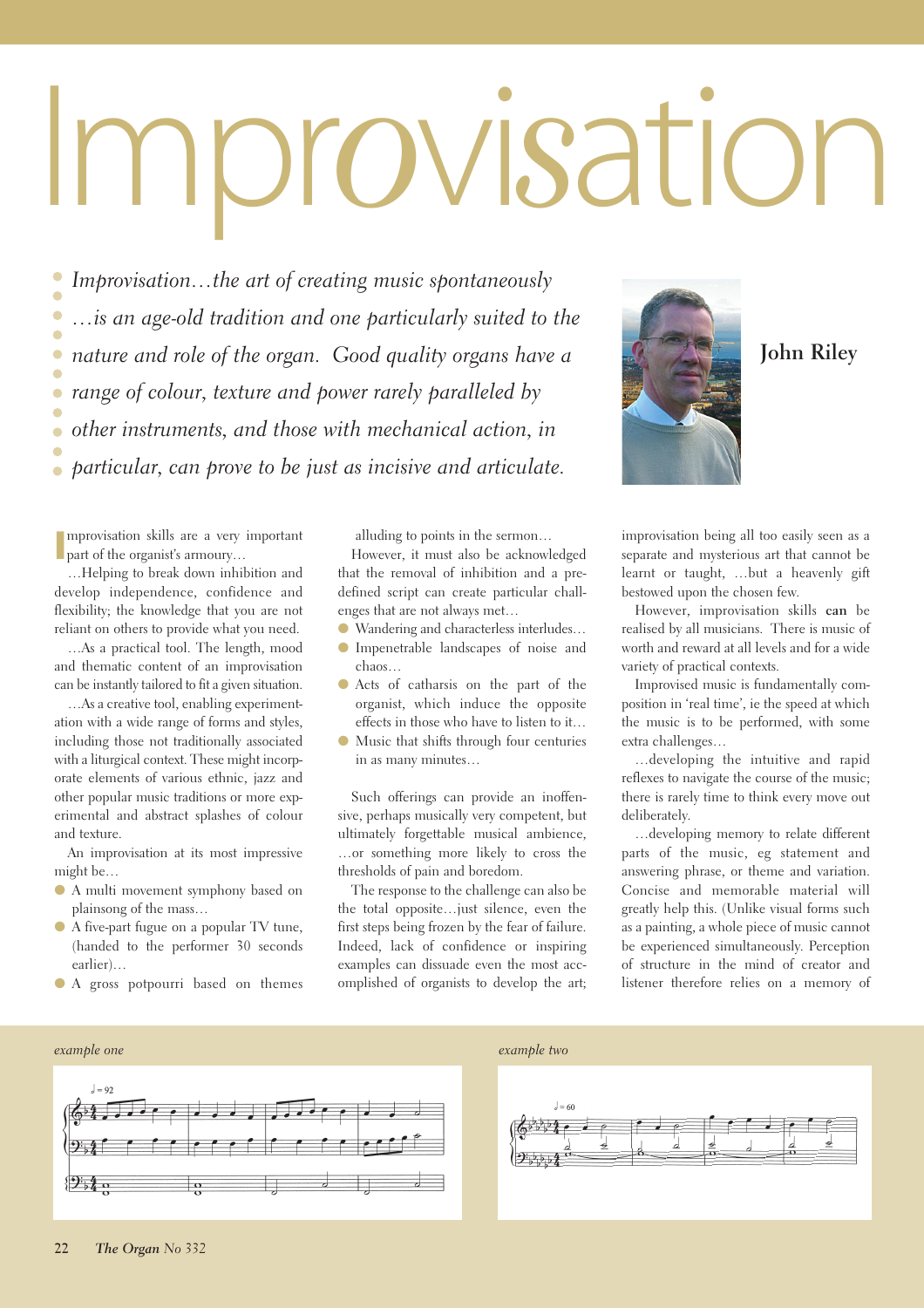# Impr*o*vi*s*ation

*Improvisation…the art of creating music spontaneously …is an age-old tradition and one particularly suited to the*  $\bullet$  $\bullet$ *nature and role of the organ. Good quality organs have a*  $\bullet$ ó *range of colour, texture and power rarely paralleled by*  $\overline{\phantom{a}}$ *other instruments, and those with mechanical action, in particular, can prove to be just as incisive and articulate.* 

**I I** part of the organist's armoury… mprovisation skills are a very important

…Helping to break down inhibition and develop independence, confidence and flexibility; the knowledge that you are not reliant on others to provide what you need.

…As a practical tool. The length, mood and thematic content of an improvisation can be instantly tailored to fit a given situation.

…As a creative tool, enabling experimentation with a wide range of forms and styles, including those not traditionally associated with a liturgical context. These might incorporate elements of various ethnic, jazz and other popular music traditions or more experimental and abstract splashes of colour and texture.

An improvisation at its most impressive might be…

- A multi movement symphony based on plainsong of the mass…
- A five-part fugue on a popular TV tune, (handed to the performer 30 seconds earlier)…
- A gross potpourri based on themes

alluding to points in the sermon…

However, it must also be acknowledged that the removal of inhibition and a predefined script can create particular challenges that are not always met…

- Wandering and characterless interludes…
- Impenetrable landscapes of noise and chaos…
- Acts of catharsis on the part of the organist, which induce the opposite effects in those who have to listen to it…
- Music that shifts through four centuries in as many minutes…

Such offerings can provide an inoffensive, perhaps musically very competent, but ultimately forgettable musical ambience, …or something more likely to cross the thresholds of pain and boredom.

The response to the challenge can also be the total opposite…just silence, even the first steps being frozen by the fear of failure. Indeed, lack of confidence or inspiring examples can dissuade even the most accomplished of organists to develop the art;



# **John Riley**

improvisation being all too easily seen as a separate and mysterious art that cannot be learnt or taught, …but a heavenly gift bestowed upon the chosen few.

However, improvisation skills **can** be realised by all musicians. There is music of worth and reward at all levels and for a wide variety of practical contexts.

Improvised music is fundamentally composition in 'real time', ie the speed at which the music is to be performed, with some extra challenges…

…developing the intuitive and rapid reflexes to navigate the course of the music; there is rarely time to think every move out deliberately.

…developing memory to relate different parts of the music, eg statement and answering phrase, or theme and variation. Concise and memorable material will greatly help this. (Unlike visual forms such as a painting, a whole piece of music cannot be experienced simultaneously. Perception of structure in the mind of creator and listener therefore relies on a memory of



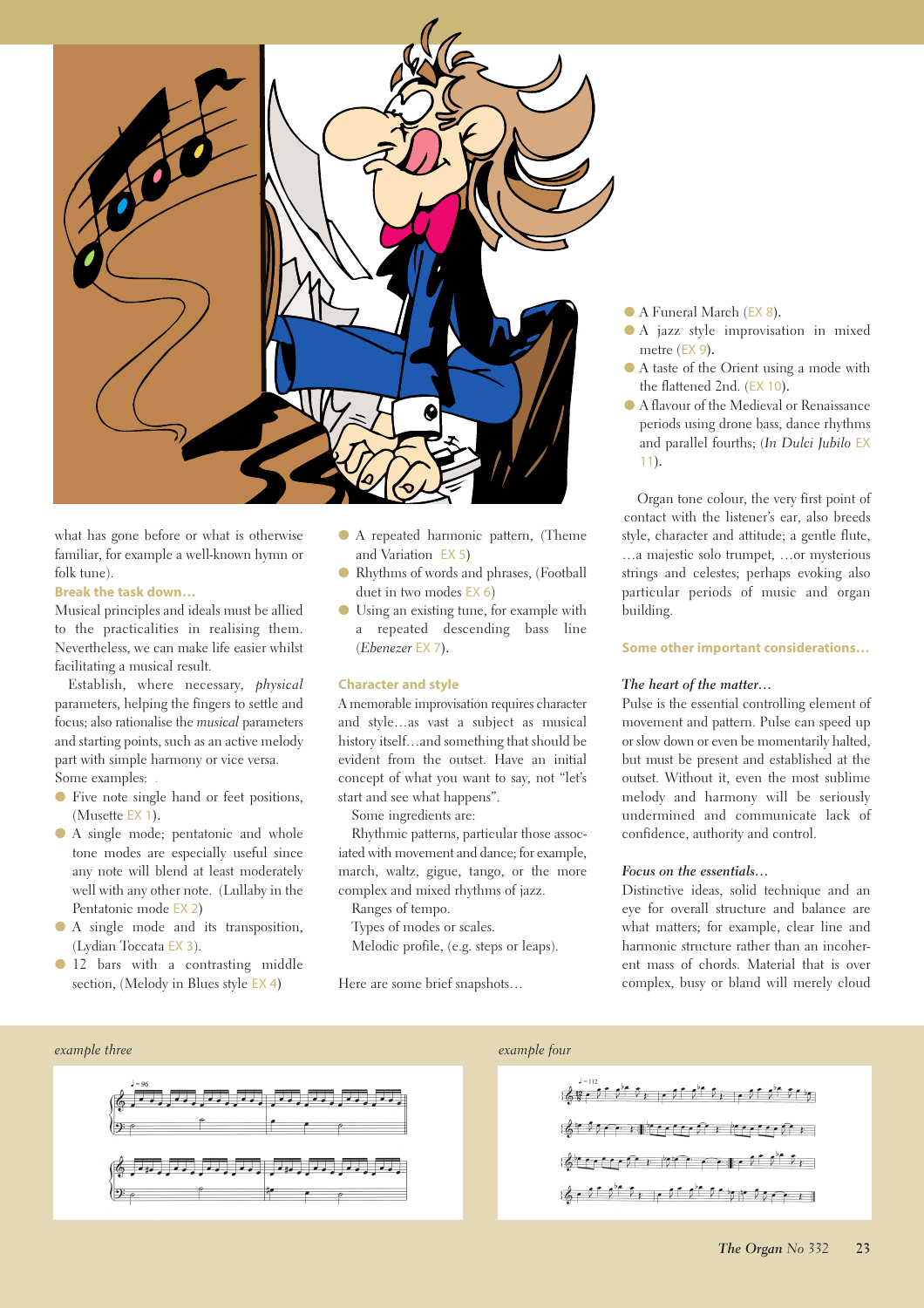

what has gone before or what is otherwise familiar, for example a well-known hymn or folk tune).

# **Break the task down…**

Musical principles and ideals must be allied to the practicalities in realising them. Nevertheless, we can make life easier whilst facilitating a musical result.

Establish, where necessary, *physical* parameters, helping the fingers to settle and focus; also rationalise the *musical* parameters and starting points, such as an active melody part with simple harmony or vice versa. Some examples: *.*

- Five note single hand or feet positions, (Musette EX 1**).**
- A single mode; pentatonic and whole tone modes are especially useful since any note will blend at least moderately well with any other note. (Lullaby in the Pentatonic mode EX 2**)**
- A single mode and its transposition, (Lydian Toccata EX 3).
- 12 bars with a contrasting middle section, (Melody in Blues style EX 4**)**
- A repeated harmonic pattern, (Theme and Variation EX 5**)**
- Rhythms of words and phrases, (Football duet in two modes EX 6)
- Using an existing tune, for example with a repeated descending bass line (*Ebenezer* EX 7**).**

#### **Character and style**

A memorable improvisation requires character and style…as vast a subject as musical history itself…and something that should be evident from the outset. Have an initial concept of what you want to say, not "let's start and see what happens".

Some ingredients are:

Rhythmic patterns, particular those associated with movement and dance; for example, march, waltz, gigue, tango, or the more complex and mixed rhythms of jazz.

Ranges of tempo.

Types of modes or scales.

Melodic profile, (e.g. steps or leaps).

Here are some brief snapshots…



- A jazz style improvisation in mixed metre (EX 9**).**
- A taste of the Orient using a mode with the flattened 2nd. (EX 10**).**
- A flavour of the Medieval or Renaissance periods using drone bass, dance rhythms and parallel fourths; (*In Dulci Jubilo* EX 11**).**

Organ tone colour, the very first point of contact with the listener's ear, also breeds style, character and attitude; a gentle flute, …a majestic solo trumpet, …or mysterious strings and celestes; perhaps evoking also particular periods of music and organ building.

#### **Some other important considerations…**

#### *The heart of the matter…*

Pulse is the essential controlling element of movement and pattern. Pulse can speed up or slow down or even be momentarily halted, but must be present and established at the outset. Without it, even the most sublime melody and harmony will be seriously undermined and communicate lack of confidence, authority and control.

#### *Focus on the essentials…*

Distinctive ideas, solid technique and an eye for overall structure and balance are what matters; for example, clear line and harmonic structure rather than an incoherent mass of chords. Material that is over complex, busy or bland will merely cloud